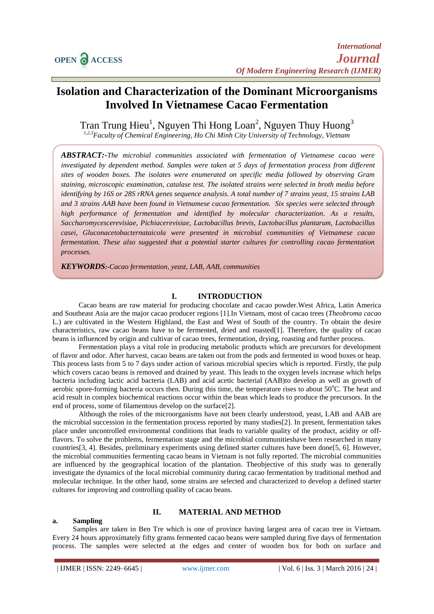# **Isolation and Characterization of the Dominant Microorganisms Involved In Vietnamese Cacao Fermentation**

Tran Trung Hieu<sup>1</sup>, Nguyen Thi Hong Loan<sup>2</sup>, Nguyen Thuy Huong<sup>3</sup> *1,2,3Faculty of Chemical Engineering, Ho Chi Minh City University of Technology, Vietnam*

*ABSTRACT:-The microbial communities associated with fermentation of Vietnamese cacao were investigated by dependent method. Samples were taken at 5 days of fermentation process from different sites of wooden boxes. The isolates were enumerated on specific media followed by observing Gram staining, microscopic examination, catalase test. The isolated strains were selected in broth media before identifying by 16S or 28S rRNA genes sequence analysis. A total number of 7 strains yeast, 15 strains LAB and 3 strains AAB have been found in Vietnamese cacao fermentation. Six species were selected through high performance of fermentation and identified by molecular characterization. As a results, Saccharomycescerevisiae, Pichiacerevisiae, Lactobacillus brevis, Lactobacillus plantarum, Lactobacillus casei, Gluconacetobacternataicola were presented in microbial communities of Vietnamese cacao fermentation. These also suggested that a potential starter cultures for controlling cacao fermentation processes.*

*KEYWORDS:-Cacao fermentation, yeast, LAB, AAB, communities*

## **I. INTRODUCTION**

Cacao beans are raw material for producing chocolate and cacao powder.West Africa, Latin America and Southeast Asia are the major cacao producer regions [\[1\]](#page-8-0).In Vietnam, most of cacao trees (*Theobroma cacao* L.) are cultivated in the Western Highland, the East and West of South of the country. To obtain the desire characteristics, raw cacao beans have to be fermented, dried and roasted[\[1\]](#page-8-0). Therefore, the quality of cacao beans is influenced by origin and cultivar of cacao trees, fermentation, drying, roasting and further process.

Fermentation plays a vital role in producing metabolic products which are precursors for development of flavor and odor. After harvest, cacao beans are taken out from the pods and fermented in wood boxes or heap. This process lasts from 5 to 7 days under action of various microbial species which is reported. Firstly, the pulp which covers cacao beans is removed and drained by yeast. This leads to the oxygen levels increase which helps bacteria including lactic acid bacteria (LAB) and acid acetic bacterial (AAB)to develop as well as growth of aerobic spore-forming bacteria occurs then. During this time, the temperature rises to about  $50^{\circ}$ C. The heat and acid result in complex biochemical reactions occur within the bean which leads to produce the precursors. In the end of process, some of filamentous develop on the surface[\[2\]](#page-8-1).

Although the roles of the microorganisms have not been clearly understood, yeast, LAB and AAB are the microbial succession in the fermentation process reported by many studies[\[2\]](#page-8-1). In present, fermentation takes place under uncontrolled environmental conditions that leads to variable quality of the product, acidity or offflavors. To solve the problems, fermentation stage and the microbial communitieshave been researched in many countries[\[3,](#page-8-2) [4\]](#page-9-0). Besides, preliminary experiments using defined starter cultures have been done[\[5,](#page-9-1) [6\]](#page-9-2). However, the microbial communities fermenting cacao beans in Vietnam is not fully reported. The microbial communities are influenced by the geographical location of the plantation. Theobjective of this study was to generally investigate the dynamics of the local microbial community during cacao fermentation by traditional method and molecular technique. In the other hand, some strains are selected and characterized to develop a defined starter cultures for improving and controlling quality of cacao beans.

#### **II. MATERIAL AND METHOD**

#### **a. Sampling**

Samples are taken in Ben Tre which is one of province having largest area of cacao tree in Vietnam. Every 24 hours approximately fifty grams fermented cacao beans were sampled during five days of fermentation process. The samples were selected at the edges and center of wooden box for both on surface and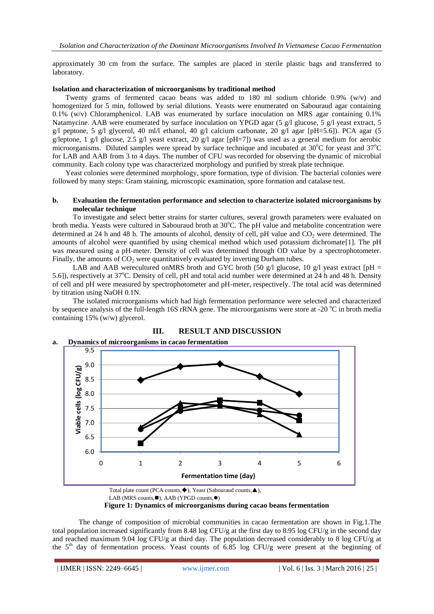approximately 30 cm from the surface. The samples are placed in sterile plastic bags and transferred to laboratory.

#### **Isolation and characterization of microorganisms by traditional method**

Twenty grams of fermented cacao beans was added to 180 ml sodium chloride 0.9% (w/v) and homogenized for 5 min, followed by serial dilutions. Yeasts were enumerated on Sabouraud agar containing 0.1% (w/v) Chloramphenicol. LAB was enumerated by surface inoculation on MRS agar containing 0.1% Natamycine. AAB were enumerated by surface inoculation on YPGD agar (5 g/l glucose, 5 g/l yeast extract, 5 g/l peptone, 5 g/l glycerol, 40 ml/l ethanol, 40 g/l calcium carbonate, 20 g/l agar [pH=5.6]). PCA agar (5 g/leptone, 1 g/l glucose, 2.5 g/l yeast extract, 20 g/l agar [pH=7]) was used as a general medium for aerobic microorganisms. Diluted samples were spread by surface technique and incubated at 30°C for yeast and 37°C for LAB and AAB from 3 to 4 days. The number of CFU was recorded for observing the dynamic of microbial community. Each colony type was characterized morphology and purified by streak plate technique.

Yeast colonies were determined morphology, spore formation, type of division. The bacterial colonies were followed by many steps: Gram staining, microscopic examination, spore formation and catalase test.

#### **b. Evaluation the fermentation performance and selection to characterize isolated microorganisms by molecular technique**

To investigate and select better strains for starter cultures, several growth parameters were evaluated on broth media. Yeasts were cultured in Sabouraud broth at 30°C. The pH value and metabolite concentration were determined at 24 h and 48 h. The amounts of alcohol, density of cell, pH value and  $CO<sub>2</sub>$  were determined. The amounts of alcohol were quantified by using chemical method which used potassium dichromate[\[1\]](#page-8-0). The pH was measured using a pH-meter. Density of cell was determined through OD value by a spectrophotometer. Finally, the amounts of  $CO<sub>2</sub>$  were quantitatively evaluated by inverting Durham tubes.

LAB and AAB werecultured on MRS broth and GYC broth (50 g/l glucose, 10 g/l yeast extract [pH = 5.6]), respectively at  $37^{\circ}$ C. Density of cell, pH and total acid number were determined at 24 h and 48 h. Density of cell and pH were measured by spectrophotometer and pH-meter, respectively. The total acid was determined by titration using NaOH 0.1N.

The isolated microorganisms which had high fermentation performance were selected and characterized by sequence analysis of the full-length 16S rRNA gene. The microorganisms were store at -20  $^{\circ}$ C in broth media containing 15% (w/w) glycerol.



# **III. RESULT AND DISCUSSION**

The change of composition of microbial communities in cacao fermentation are shown in Fig.1.The total population increased significantly from 8.48 log CFU/g at the first day to 8.95 log CFU/g in the second day and reached maximum 9.04 log CFU/g at third day. The population decreased considerably to 8 log CFU/g at the  $5<sup>th</sup>$  day of fermentation process. Yeast counts of 6.85 log CFU/g were present at the beginning of

Total plate count (PCA counts, $\blacklozenge$ ), Yeast (Sabouraud counts, $\blacktriangle$ ), LAB (MRS counts, $\blacksquare$ ), AAB (YPGD counts, $\lozenge$ ) **Figure 1: Dynamics of microorganisms during cacao beans fermentation**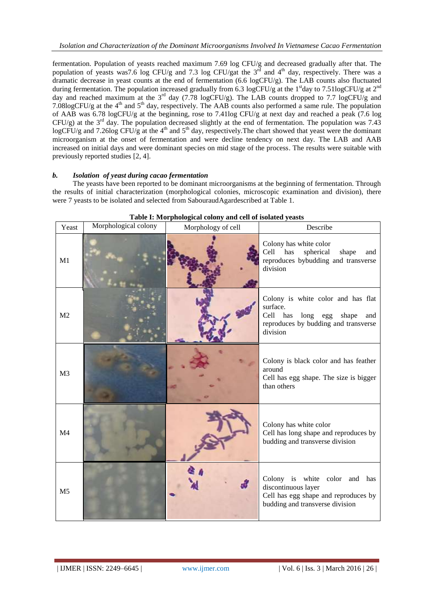fermentation. Population of yeasts reached maximum 7.69 log CFU/g and decreased gradually after that. The population of yeasts was7.6 log CFU/g and 7.3 log CFU/gat the  $3<sup>rd</sup>$  and  $4<sup>th</sup>$  day, respectively. There was a dramatic decrease in yeast counts at the end of fermentation (6.6 logCFU/g). The LAB counts also fluctuated during fermentation. The population increased gradually from 6.3 logCFU/g at the 1<sup>st</sup>day to 7.51logCFU/g at  $2^{nd}$ day and reached maximum at the 3<sup>rd</sup> day (7.78 logCFU/g). The LAB counts dropped to 7.7 logCFU/g and 7.08logCFU/g at the 4th and 5th day, respectively. The AAB counts also performed a same rule. The population of AAB was 6.78 logCFU/g at the beginning, rose to 7.41log CFU/g at next day and reached a peak (7.6 log  $CFU/g$ ) at the 3<sup>rd</sup> day. The population decreased slightly at the end of fermentation. The population was 7.43 logCFU/g and 7.26log CFU/g at the 4<sup>th</sup> and 5<sup>th</sup> day, respectively. The chart showed that yeast were the dominant microorganism at the onset of fermentation and were decline tendency on next day. The LAB and AAB increased on initial days and were dominant species on mid stage of the process. The results were suitable with previously reported studies [\[2,](#page-8-1) [4\]](#page-9-0).

#### *b. Isolation of yeast during cacao fermentation*

The yeasts have been reported to be dominant microorganisms at the beginning of fermentation. Through the results of initial characterization (morphological colonies, microscopic examination and division), there were 7 yeasts to be isolated and selected from SabouraudAgardescribed at Table 1.

| Yeast          | Morphological colony | Morphology of cell | Describe                                                                                                                                   |  |  |
|----------------|----------------------|--------------------|--------------------------------------------------------------------------------------------------------------------------------------------|--|--|
| M1             |                      |                    | Colony has white color<br>Cell<br>spherical<br>has<br>shape<br>and<br>reproduces bybudding and transverse<br>division                      |  |  |
| M <sub>2</sub> |                      |                    | Colony is white color and has flat<br>surface.<br>Cell has<br>long egg<br>shape<br>and<br>reproduces by budding and transverse<br>division |  |  |
| M <sub>3</sub> |                      |                    | Colony is black color and has feather<br>around<br>Cell has egg shape. The size is bigger<br>than others                                   |  |  |
| M <sub>4</sub> |                      |                    | Colony has white color<br>Cell has long shape and reproduces by<br>budding and transverse division                                         |  |  |
| M <sub>5</sub> |                      |                    | Colony is white color<br>and has<br>discontinuous layer<br>Cell has egg shape and reproduces by<br>budding and transverse division         |  |  |

**Table I: Morphological colony and cell of isolated yeasts**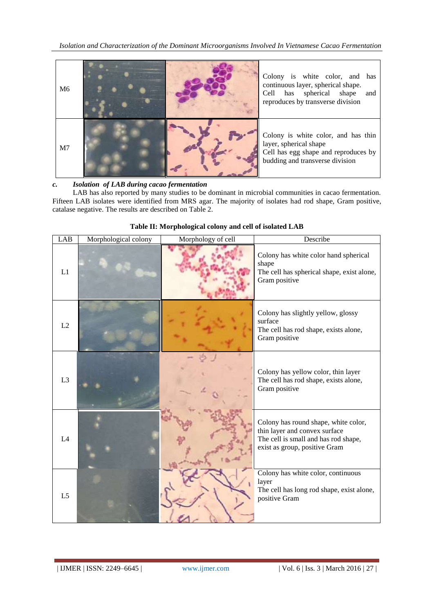| M <sub>6</sub> |  | Colony is white color, and has<br>continuous layer, spherical shape.<br>Cell has spherical shape<br>and<br>reproduces by transverse division |
|----------------|--|----------------------------------------------------------------------------------------------------------------------------------------------|
| M <sub>7</sub> |  | Colony is white color, and has thin<br>layer, spherical shape<br>Cell has egg shape and reproduces by<br>budding and transverse division     |

# *c. Isolation of LAB during cacao fermentation*

LAB has also reported by many studies to be dominant in microbial communities in cacao fermentation. Fifteen LAB isolates were identified from MRS agar. The majority of isolates had rod shape, Gram positive, catalase negative. The results are described on Table 2.

| LAB            | Morphological colony | Morphology of cell | Describe                                                                                                                                       |
|----------------|----------------------|--------------------|------------------------------------------------------------------------------------------------------------------------------------------------|
| L1             |                      |                    | Colony has white color hand spherical<br>shape<br>The cell has spherical shape, exist alone,<br>Gram positive                                  |
| L2             |                      |                    | Colony has slightly yellow, glossy<br>surface<br>The cell has rod shape, exists alone,<br>Gram positive                                        |
| L <sub>3</sub> |                      |                    | Colony has yellow color, thin layer<br>The cell has rod shape, exists alone,<br>Gram positive                                                  |
| L4             |                      |                    | Colony has round shape, white color,<br>thin layer and convex surface<br>The cell is small and has rod shape,<br>exist as group, positive Gram |
| L <sub>5</sub> |                      |                    | Colony has white color, continuous<br>layer<br>The cell has long rod shape, exist alone,<br>positive Gram                                      |

## **Table II: Morphological colony and cell of isolated LAB**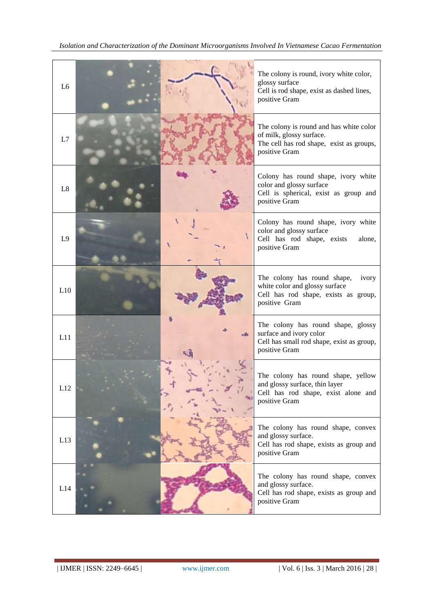| L <sub>6</sub> | The colony is round, ivory white color,<br>glossy surface<br>Cell is rod shape, exist as dashed lines,<br>positive Gram          |
|----------------|----------------------------------------------------------------------------------------------------------------------------------|
| L7             | The colony is round and has white color<br>of milk, glossy surface.<br>The cell has rod shape, exist as groups,<br>positive Gram |
| L8             | Colony has round shape, ivory white<br>color and glossy surface<br>Cell is spherical, exist as group and<br>positive Gram        |
| L9             | Colony has round shape, ivory white<br>color and glossy surface<br>Cell has rod shape, exists<br>alone,<br>positive Gram         |
| L10            | The colony has round shape,<br>ivory<br>white color and glossy surface<br>Cell has rod shape, exists as group,<br>positive Gram  |
| L11            | The colony has round shape, glossy<br>surface and ivory color<br>Cell has small rod shape, exist as group,<br>positive Gram      |
| L12            | The colony has round shape, yellow<br>and glossy surface, thin layer<br>Cell has rod shape, exist alone and<br>positive Gram     |
| L13            | The colony has round shape, convex<br>and glossy surface.<br>Cell has rod shape, exists as group and<br>positive Gram            |
| L14            | The colony has round shape, convex<br>and glossy surface.<br>Cell has rod shape, exists as group and<br>positive Gram            |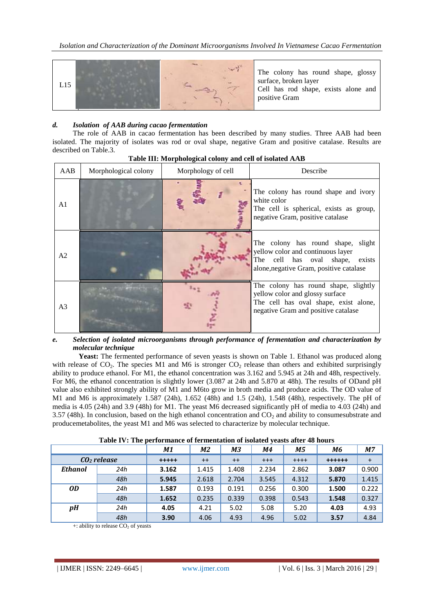

## *d. Isolation of AAB during cacao fermentation*

The role of AAB in cacao fermentation has been described by many studies. Three AAB had been isolated. The majority of isolates was rod or oval shape, negative Gram and positive catalase. Results are described on Table.3.

| AAB            | Morphological colony | Morphology of cell | Describe                                                                                                                                                |
|----------------|----------------------|--------------------|---------------------------------------------------------------------------------------------------------------------------------------------------------|
| A1             |                      |                    | The colony has round shape and ivory<br>white color<br>The cell is spherical, exists as group,<br>negative Gram, positive catalase                      |
| A <sub>2</sub> |                      |                    | The colony has round shape, slight<br>yellow color and continuous layer<br>The cell has oval shape, exists<br>alone, negative Gram, positive catalase   |
| A <sub>3</sub> |                      |                    | The colony has round shape, slightly<br>yellow color and glossy surface<br>The cell has oval shape, exist alone,<br>negative Gram and positive catalase |

# *e. Selection of isolated microorganisms through performance of fermentation and characterization by molecular technique*

Yeast: The fermented performance of seven yeasts is shown on Table 1. Ethanol was produced along with release of CO<sub>2</sub>. The species M1 and M6 is stronger CO<sub>2</sub> release than others and exhibited surprisingly ability to produce ethanol. For M1, the ethanol concentration was 3.162 and 5.945 at 24h and 48h, respectively. For M6, the ethanol concentration is slightly lower (3.087 at 24h and 5.870 at 48h). The results of ODand pH value also exhibited strongly ability of M1 and M6to grow in broth media and produce acids. The OD value of M1 and M6 is approximately 1.587 (24h), 1.652 (48h) and 1.5 (24h), 1.548 (48h), respectively. The pH of media is 4.05 (24h) and 3.9 (48h) for M1. The yeast M6 decreased significantly pH of media to 4.03 (24h) and 3.57 (48h). In conclusion, based on the high ethanol concentration and  $CO<sub>2</sub>$  and ability to consumesubstrate and producemetabolites, the yeast M1 and M6 was selected to characterize by molecular technique.

|                |     | M1          | M2    | M3    | M4    | <b>M5</b> | M6      | <b>M7</b> |
|----------------|-----|-------------|-------|-------|-------|-----------|---------|-----------|
| $CO2$ release  |     | $+ + + + +$ | $++$  | $++$  | $+++$ | $+ + + +$ | $+++++$ |           |
| <b>Ethanol</b> | 24h | 3.162       | 1.415 | 1.408 | 2.234 | 2.862     | 3.087   | 0.900     |
|                | 48h | 5.945       | 2.618 | 2.704 | 3.545 | 4.312     | 5.870   | 1.415     |
| <i>OD</i>      | 24h | 1.587       | 0.193 | 0.191 | 0.256 | 0.300     | 1.500   | 0.222     |
|                | 48h | 1.652       | 0.235 | 0.339 | 0.398 | 0.543     | 1.548   | 0.327     |
| pH             | 24h | 4.05        | 4.21  | 5.02  | 5.08  | 5.20      | 4.03    | 4.93      |
|                | 48h | 3.90        | 4.06  | 4.93  | 4.96  | 5.02      | 3.57    | 4.84      |

**Table IV: The performance of fermentation of isolated yeasts after 48 hours**

 $+$ : ability to release  $CO<sub>2</sub>$  of yeasts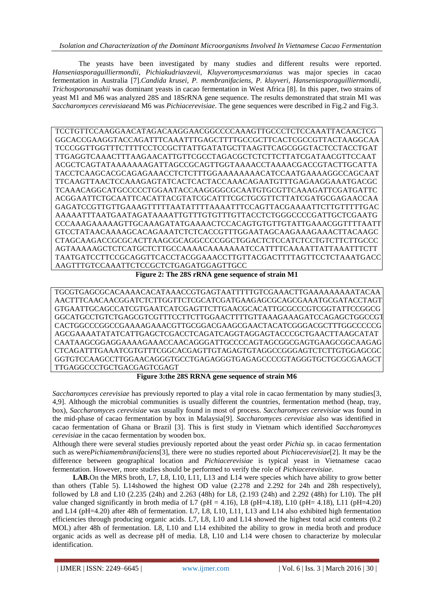The yeasts have been investigated by many studies and different results were reported. *Hanseniasporaguilliermondii, Pichiakudriavzevii, Kluyveromycesmarxianus* was major species in cacao fermentation in Australia [\[7\]](#page-9-3).*Candida krusei, P. membranifaciens, P. kluyveri, Hanseniasporaguilliermondii, Trichosporonasahii* was dominant yeasts in cacao fermentation in West Africa [\[8\]](#page-9-4). In this paper, two strains of yeast M1 and M6 was analyzed 28S and 18SrRNA gene sequence. The results demonstrated that strain M1 was *Saccharomyces cerevisiae*and M6 was *Pichiacerevisiae*. The gene sequences were described in Fig.2 and Fig.3.

TCCTGTTCCAAGGAACATAGACAAGGAACGGCCCCAAAGTTGCCCTCTCCAAATTACAACTCG GGCACCGAAGGTACCAGATTTCAAATTTGAGCTTTTGCCGCTTCACTCGCCGTTACTAAGGCAA TCCCGGTTGGTTTCTTTTCCTCCGCTTATTGATATGCTTAAGTTCAGCGGGTACTCCTACCTGAT TTGAGGTCAAACTTTAAGAACATTGTTCGCCTAGACGCTCTCTTCTTATCGATAACGTTCCAAT ACGCTCAGTATAAAAAAAGATTAGCCGCAGTTGGTAAAACCTAAAACGACCGTACTTGCATTA TACCTCAAGCACGCAGAGAAACCTCTCTTTGGAAAAAAAACATCCAATGAAAAGGCCAGCAAT TTCAAGTTAACTCCAAAGAGTATCACTCACTACCAAACAGAATGTTTGAGAAGGAAATGACGC TCAAACAGGCATGCCCCCTGGAATACCAAGGGGCGCAATGTGCGTTCAAAGATTCGATGATTC ACGGAATTCTGCAATTCACATTACGTATCGCATTTCGCTGCGTTCTTATCGATGCGAGAACCAA GAGATCCGTTGTTGAAAGTTTTTAATATTTTAAAATTTCCAGTTACGAAAATTCTTGTTTTTGAC AAAAATTTAATGAATAGATAAAATTGTTTGTGTTTGTTACCTCTGGGCCCCGATTGCTCGAATG CCCAAAGAAAAAGTTGCAAAGATATGAAAACTCCACAGTGTGTTGTATTGAAACGGTTTTAATT GTCCTATAACAAAAGCACAGAAATCTCTCACCGTTTGGAATAGCAAGAAAGAAACTTACAAGC CTAGCAAGACCGCGCACTTAAGCGCAGGCCCCGGCTGGACTCTCCATCTCCTGTCTTCTTGCCC AGTAAAAAGCTCTCATGCTCTTGCCAAAACAAAAAAATCCATTTTCAAAATTATTAAATTTCTT TAATGATCCTTCCGCAGGTTCACCTACGGAAACCTTGTTACGACTTTTAGTTCCTCTAAATGACC AAGTTTGTCCAAATTCTCCGCTCTGAGATGGAGTTGCC

**Figure 2: The 28S rRNA gene sequence of strain M1**

TGCGTGAGCGCACAAAACACATAAACCGTGAGTAATTTTTGTCGAAACTTGAAAAAAAAATACAA AACTTTCAACAACGGATCTCTTGGTTCTCGCATCGATGAAGAGCGCAGCGAAATGCGATACCTAGT GTGAATTGCAGCCATCGTGAATCATCGAGTTCTTGAACGCACATTGCGCCCGTCGGTATTCCGGCG GGCATGCCTGTCTGAGCGTCGTTTCCTTCTTGGAACTTTTGTTAAAGAAAGATCCAGAGCTGGCCGTGC CACTGGCCCGGCCGAAAAGAAACGTTGCGGACGAAGCGAACTACATCGGGACGCTTTGGCCCCCG AGCGAAAATATATCATTGAGCTCGACCTCAGATCAGGTAGGAGTACCCGCTGAACTTAAGCATAT CAATAAGCGGAGGAAAAGAAACCAACAGGGATTGCCCCAGTAGCGGCGAGTGAAGCGGCAAGAG CTCAGATTTGAAATCGTGTTTCGGCACGAGTTGTAGAGTGTAGGCCGGGAGTCTCTTGTGGAGCGC GGTGTCCAAGCCTTGGAACAGGGTGCCTGAGAGGGTGAGAGCCCCGTAGGGTGCTGCGCGAAGCT TTGAGGCCCTGCTGACGAGTCGAGT

**Figure 3:the 28S RRNA gene sequence of strain M6**

*Saccharomyces cerevisiae* has previously reported to play a vital role in cacao fermentation by many studies[\[3,](#page-8-2) [4](#page-9-0)[,9\]](#page-9-5). Although the microbial communities is usually different the countries, fermentation method (heap, tray, box), *Saccharomyces cerevisiae* was usually found in most of process. *Saccharomyces cerevisiae* was found in the mid-phase of cacao fermentation by box in Malaysia[\[9\]](#page-9-5). *Saccharomyces cerevisiae* also was identified in cacao fermentation of Ghana or Brazil [\[3\]](#page-8-2). This is first study in Vietnam which identified *Saccharomyces cerevisiae* in the cacao fermentation by wooden box.

Although there were several studies previously reported about the yeast order *Pichia* sp. in cacao fermentation such as were*Pichiamembranifaciens*[\[3\]](#page-8-2), there were no studies reported about *Pichiacerevisiae*[\[2\]](#page-8-1). It may be the difference between geographical location and *Pichiacerevisiae* is typical yeast in Vietnamese cacao fermentation. However, more studies should be performed to verify the role of *Pichiacerevisiae*.

**LAB.**On the MRS broth, L7, L8, L10, L11, L13 and L14 were species which have ability to grow better than others (Table 5). L14showed the highest OD value (2.278 and 2.292 for 24h and 28h respectively), followed by L8 and L10 (2.235 (24h) and 2.263 (48h) for L8, (2.193 (24h) and 2.292 (48h) for L10). The pH value changed significantly in broth media of L7 ( $pH = 4.16$ ), L8 ( $pH = 4.18$ ), L10 ( $pH = 4.18$ ), L11 ( $pH = 4.20$ ) and L14 (pH=4.20) after 48h of fermentation. L7, L8, L10, L11, L13 and L14 also exhibited high fermentation efficiencies through producing organic acids. L7, L8, L10 and L14 showed the highest total acid contents (0.2 MOL) after 48h of fermentation. L8, L10 and L14 exhibited the ability to grow in media broth and produce organic acids as well as decrease pH of media. L8, L10 and L14 were chosen to characterize by molecular identification.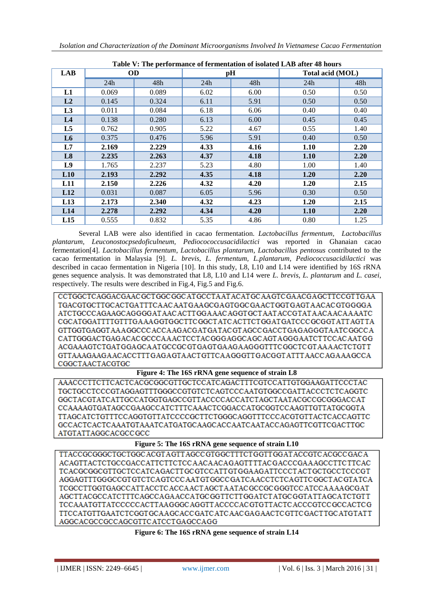| Table V: The performance of fermentation of isolated LAB after 48 hours |           |       |      |      |                  |      |  |
|-------------------------------------------------------------------------|-----------|-------|------|------|------------------|------|--|
| <b>LAB</b>                                                              | <b>OD</b> |       | pH   |      | Total acid (MOL) |      |  |
|                                                                         | 24h       | 48h   | 24h  | 48h  | 24h              | 48h  |  |
| L1                                                                      | 0.069     | 0.089 | 6.02 | 6.00 | 0.50             | 0.50 |  |
| L <sub>2</sub>                                                          | 0.145     | 0.324 | 6.11 | 5.91 | 0.50             | 0.50 |  |
| L3                                                                      | 0.011     | 0.084 | 6.18 | 6.06 | 0.40             | 0.40 |  |
| L <sub>4</sub>                                                          | 0.138     | 0.280 | 6.13 | 6.00 | 0.45             | 0.45 |  |
| L5                                                                      | 0.762     | 0.905 | 5.22 | 4.67 | 0.55             | 1.40 |  |
| L <sub>6</sub>                                                          | 0.375     | 0.476 | 5.96 | 5.91 | 0.40             | 0.50 |  |
| L7                                                                      | 2.169     | 2.229 | 4.33 | 4.16 | 1.10             | 2.20 |  |
| L8                                                                      | 2.235     | 2.263 | 4.37 | 4.18 | 1.10             | 2.20 |  |
| L9                                                                      | 1.765     | 2.237 | 5.23 | 4.80 | 1.00             | 1.40 |  |
| L10                                                                     | 2.193     | 2.292 | 4.35 | 4.18 | 1.20             | 2.20 |  |
| L11                                                                     | 2.150     | 2.226 | 4.32 | 4.20 | 1.20             | 2.15 |  |
| L12                                                                     | 0.031     | 0.087 | 6.05 | 5.96 | 0.30             | 0.50 |  |
| L13                                                                     | 2.173     | 2.340 | 4.32 | 4.23 | 1.20             | 2.15 |  |
| L14                                                                     | 2.278     | 2.292 | 4.34 | 4.20 | 1.10             | 2.20 |  |
| L15                                                                     | 0.555     | 0.832 | 5.35 | 4.86 | 0.80             | 1.25 |  |

Several LAB were also identified in cacao fermentation. *Lactobacillus fermentum, Lactobacillus plantarum, Leuconostocpsedoficulneum, Pediocococcusacidilactici* was reported in Ghanaian cacao fermentation[\[4\]](#page-9-0). *Lactobacillus fermentum*, *Lactobacillus plantarum*, *Lactobacillus pentosus* contributed to the cacao fermentation in Malaysia [\[9\]](#page-9-5). *L. brevis, L. fermentum, L.plantarum, Pediococcusacidilactici* was described in cacao fermentation in Nigeria [\[10\]](#page-9-6). In this study, L8, L10 and L14 were identified by 16S rRNA genes sequence analysis. It was demonstrated that L8, L10 and L14 were *L. brevis*, *L. plantarum* and *L. casei*,

respectively. The results were described in Fig.4, Fig.5 and Fig.6.

CCTGGCTCAGGACGAACGCTGGCGGCATGCCTAATACATGCAAGTCGAACGAGCTTCCGTTGAA TGACGTGCTTGCACTGATTTCAACAATGAAGCGAGTGGCGAACTGGTGAGTAACACGTGGGGA ATCTGCCCAGAAGCAGGGGATAACACTTGGAAACAGGTGCTAATACCGTATAACAACAAAATC CGCATGGATTTTGTTTGAAAGGTGGCTTCGGCTATCACTTCTGGATGATCCCGCGGTATTAGTTA GTTGGTGAGGTAAAGGCCCACCAAGACGATGATACGTAGCCGACCTGAGAGGGTAATCGGCCA CATTGGGACTGAGACACGCCCAAACTCCTACGGGAGGCAGCAGTAGGGAATCTTCCACAATGG ACGAAAGTCTGATGGAGCAATGCCGCGTGAGTGAAGAAGGGTTTCGGCTCGTAAAACTCTGTT GTTAAAGAAGAACACCTTTGAGAGTAACTGTTCAAGGGTTGACGGTATTTAACCAGAAAGCCA CGGCTAACTACGTGC

# **Figure 4: The 16S rRNA gene sequence of strain L8**

AAACCCTTCTTCACTCACGCGGCGTTGCTCCATCAGACTTTCGTCCATTGTGGAAGATTCCCTAC TGCTGCCTCCCGTAGGAGTTTGGGCCGTGTCTCAGTCCCAATGTGGCCGATTACCCTCTCAGGTC GGCTACGTATCATTGCCATGGTGAGCCGTTACCCCACCATCTAGCTAATACGCCGCGGGACCAT CCAAAAGTGATAGCCGAAGCCATCTTTCAAACTCGGACCATGCGGTCCAAGTTGTTATGCGGTA TTAGCATCTGTTTCCAGGTGTTATCCCCGCTTCTGGGCAGGTTTCCCACGTGTTACTCACCAGTTC ATGTATTAGGCACGCCGCC

**Figure 5: The 16S rRNA gene sequence of strain L10**

TTACCGCGGGCTGCTGCCACGTAGTTAGCCGTGGCTTTCTGGTTGGATACCGTCACGCCGACA ACAGTTACTCTGCCGACCATTCTTCTCCAACAACAGAGTTTTACGACCCGAAAGCCTTCTTCAC TCACGCGGCGTTGCTCCATCAGACTTGCGTCCATTGTGGAAGATTCCCTACTGCTGCCTCCCGT AGGAGTTTGGGCCGTGTCTCAGTCCCAATGTGGCCGATCAACCTCTCAGTTCGGCTACGTATCA AGCTTACGCCATCTTTCAGCCAGAACCATGCGGTTCTTGGATCTATGCGGTATTAGCATCTGTT TCCAAATGTTATCCCCCACTTAAGGGCAGGTTACCCCACGTGTTACTCACCCGTCCGCCACTCG TTCCATGTTGAATCTCGGTGCAAGCACCGATCATCAACGAGAACTCGTTCGACTTGCATGTATT AGGCACGCCGCCAGCGTTCATCCTGAGCCAGG

**Figure 6: The 16S rRNA gene sequence of strain L14**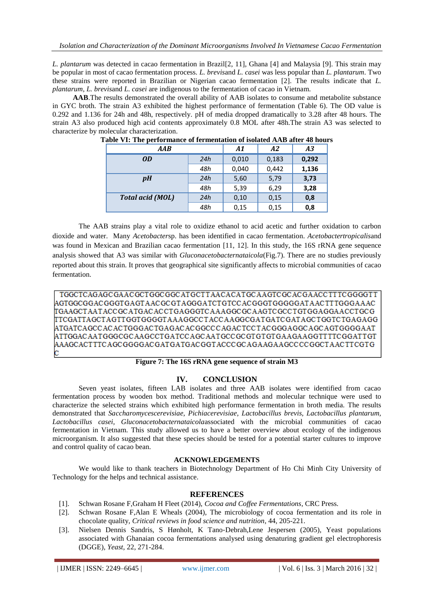*L. plantarum* was detected in cacao fermentation in Brazil[\[2,](#page-8-1) [11\]](#page-9-7), Ghana [\[4\]](#page-9-0) and Malaysia [\[9\]](#page-9-5). This strain may be popular in most of cacao fermentation process. *L. brevis*and *L. casei* was less popular than *L. plantarum*. Two these strains were reported in Brazilian or Nigerian cacao fermentation [\[2\]](#page-8-1). The results indicate that *L. plantarum*, *L. brevis*and *L. casei* are indigenous to the fermentation of cacao in Vietnam.

**AAB**.The results demonstrated the overall ability of AAB isolates to consume and metabolite substance in GYC broth. The strain A3 exhibited the highest performance of fermentation (Table 6). The OD value is 0.292 and 1.136 for 24h and 48h, respectively. pH of media dropped dramatically to 3.28 after 48 hours. The strain A3 also produced high acid contents approximately 0.8 MOL after 48h.The strain A3 was selected to characterize by molecular characterization.

| $A$ <i>AB</i>           |     | A1    | A2    | A3    |
|-------------------------|-----|-------|-------|-------|
| <i>OD</i>               | 24h | 0,010 | 0,183 | 0,292 |
|                         | 48h | 0,040 | 0,442 | 1,136 |
| pH                      | 24h | 5,60  | 5,79  | 3,73  |
|                         | 48h | 5,39  | 6,29  | 3,28  |
| <b>Total acid (MOL)</b> | 24h | 0,10  | 0,15  | 0,8   |
|                         | 48h | 0,15  | 0,15  | 0,8   |

**Table VI: The performance of fermentation of isolated AAB after 48 hours**

The AAB strains play a vital role to oxidize ethanol to acid acetic and further oxidation to carbon dioxide and water. Many *Acetobacter*sp. has been identified in cacao fermentation. *Acetobactertropicalis*and was found in Mexican and Brazilian cacao fermentation [\[11,](#page-9-7) [12\]](#page-9-8). In this study, the 16S rRNA gene sequence analysis showed that A3 was similar with *Gluconacetobacternataicola*(Fig.7). There are no studies previously reported about this strain. It proves that geographical site significantly affects to microbial communities of cacao fermentation.

TGGCTCAGAGCGAACGCTGGCGGCATGCTTAACACATGCAAGTCGCACGAACCTTTCGGGGTT |AGTGGCGGACGGGTGAGTAACGCGTAGGGATCTGTCCACGGGTGGGGGATAACTTTGGGAAAC TGAAGCTAATACCGCATGACACCTGAGGGTCAAAGGCGCAAGTCGCCTGTGGAGGAACCTGCG TTCGATTAGCTAGTTGGTGGGGTAAAGGCCTACCAAGGCGATGATCGATAGCTGGTCTGAGAGG |ATGATCAGCCACACTGGGACTGAGACACGGCCCAGACTCCTACGGGAGGCAGCAGTGGGGAAT ATTGGACAATGGGCGCAAGCCTGATCCAGCAATGCCGCGTGTGTGAAGAAGGTTTTCGGATTGT AAAGCACTTTCAGCGGGGACGATGATGACGGTACCCGCAGAAGAAGCCCCGGCTAACTTCGTG

#### **Figure 7: The 16S rRNA gene sequence of strain M3**

# **IV. CONCLUSION**

Seven yeast isolates, fifteen LAB isolates and three AAB isolates were identified from cacao fermentation process by wooden box method. Traditional methods and molecular technique were used to characterize the selected strains which exhibited high performance fermentation in broth media. The results demonstrated that *Saccharomycescerevisiae, Pichiacerevisiae, Lactobacillus brevis, Lactobacillus plantarum, Lactobacillus casei, Gluconacetobacternataicola*associated with the microbial communities of cacao fermentation in Vietnam. This study allowed us to have a better overview about ecology of the indigenous microorganism. It also suggested that these species should be tested for a potential starter cultures to improve and control quality of cacao bean.

#### **ACKNOWLEDGEMENTS**

We would like to thank teachers in Biotechnology Department of Ho Chi Minh City University of Technology for the helps and technical assistance.

#### **REFERENCES**

- <span id="page-8-0"></span>[1]. Schwan Rosane F,Graham H Fleet (2014), *Cocoa and Coffee Fermentations*, CRC Press.
- <span id="page-8-1"></span>[2]. Schwan Rosane F,Alan E Wheals (2004), The microbiology of cocoa fermentation and its role in chocolate quality*, Critical reviews in food science and nutrition*, 44, 205-221.
- <span id="page-8-2"></span>[3]. Nielsen Dennis Sandris, S Hønholt, K Tano‐Debrah,Lene Jespersen (2005), Yeast populations associated with Ghanaian cocoa fermentations analysed using denaturing gradient gel electrophoresis (DGGE)*, Yeast*, 22, 271-284.